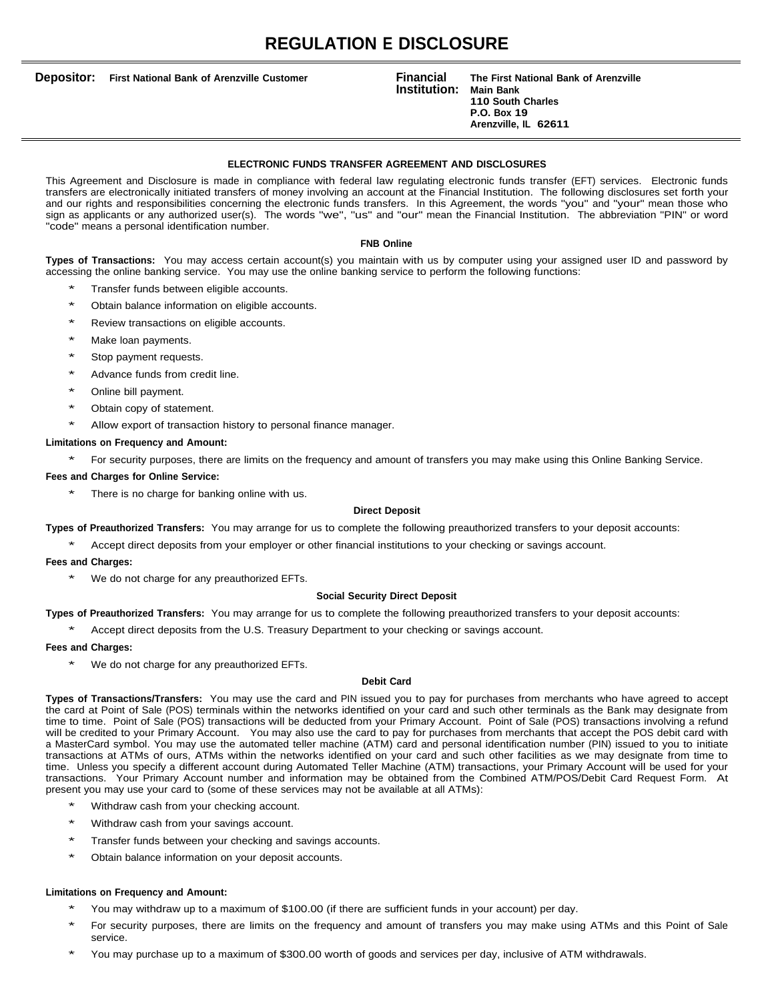# **REGULATION E DISCLOSURE**

**Depositor: First National Bank of Arenzville Customer**

#### **Institution: Financial The First National Bank of Arenzville Main Bank 110 South Charles P.O. Box 19 Arenzville, IL 62611**

# **ELECTRONIC FUNDS TRANSFER AGREEMENT AND DISCLOSURES**

This Agreement and Disclosure is made in compliance with federal law regulating electronic funds transfer (EFT) services. Electronic funds transfers are electronically initiated transfers of money involving an account at the Financial Institution. The following disclosures set forth your and our rights and responsibilities concerning the electronic funds transfers. In this Agreement, the words "you" and "your" mean those who sign as applicants or any authorized user(s). The words "we", "us" and "our" mean the Financial Institution. The abbreviation "PIN" or word "code" means a personal identification number.

## **FNB Online**

**Types of Transactions:** You may access certain account(s) you maintain with us by computer using your assigned user ID and password by accessing the online banking service. You may use the online banking service to perform the following functions:

- Transfer funds between eligible accounts.
- Obtain balance information on eligible accounts.
- Review transactions on eligible accounts.
- Make loan payments.
- Stop payment requests.
- Advance funds from credit line.
- Online bill payment.
- Obtain copy of statement.
- Allow export of transaction history to personal finance manager.

# **Limitations on Frequency and Amount:**

For security purposes, there are limits on the frequency and amount of transfers you may make using this Online Banking Service.

# **Fees and Charges for Online Service:**

There is no charge for banking online with us.

# **Direct Deposit**

**Types of Preauthorized Transfers:** You may arrange for us to complete the following preauthorized transfers to your deposit accounts:

Accept direct deposits from your employer or other financial institutions to your checking or savings account.

# **Fees and Charges:**

We do not charge for any preauthorized EFTs.

# **Social Security Direct Deposit**

**Types of Preauthorized Transfers:** You may arrange for us to complete the following preauthorized transfers to your deposit accounts:

Accept direct deposits from the U.S. Treasury Department to your checking or savings account.

# **Fees and Charges:**

We do not charge for any preauthorized EFTs.

### **Debit Card**

**Types of Transactions/Transfers:** You may use the card and PIN issued you to pay for purchases from merchants who have agreed to accept the card at Point of Sale (POS) terminals within the networks identified on your card and such other terminals as the Bank may designate from time to time. Point of Sale (POS) transactions will be deducted from your Primary Account. Point of Sale (POS) transactions involving a refund will be credited to your Primary Account. You may also use the card to pay for purchases from merchants that accept the POS debit card with a MasterCard symbol. You may use the automated teller machine (ATM) card and personal identification number (PIN) issued to you to initiate transactions at ATMs of ours, ATMs within the networks identified on your card and such other facilities as we may designate from time to time. Unless you specify a different account during Automated Teller Machine (ATM) transactions, your Primary Account will be used for your transactions. Your Primary Account number and information may be obtained from the Combined ATM/POS/Debit Card Request Form. At present you may use your card to (some of these services may not be available at all ATMs):

- Withdraw cash from your checking account.
- Withdraw cash from your savings account.
- Transfer funds between your checking and savings accounts.
- \* Obtain balance information on your deposit accounts.

# **Limitations on Frequency and Amount:**

- You may withdraw up to a maximum of \$100.00 (if there are sufficient funds in your account) per day.
- For security purposes, there are limits on the frequency and amount of transfers you may make using ATMs and this Point of Sale service.
- You may purchase up to a maximum of \$300.00 worth of goods and services per day, inclusive of ATM withdrawals.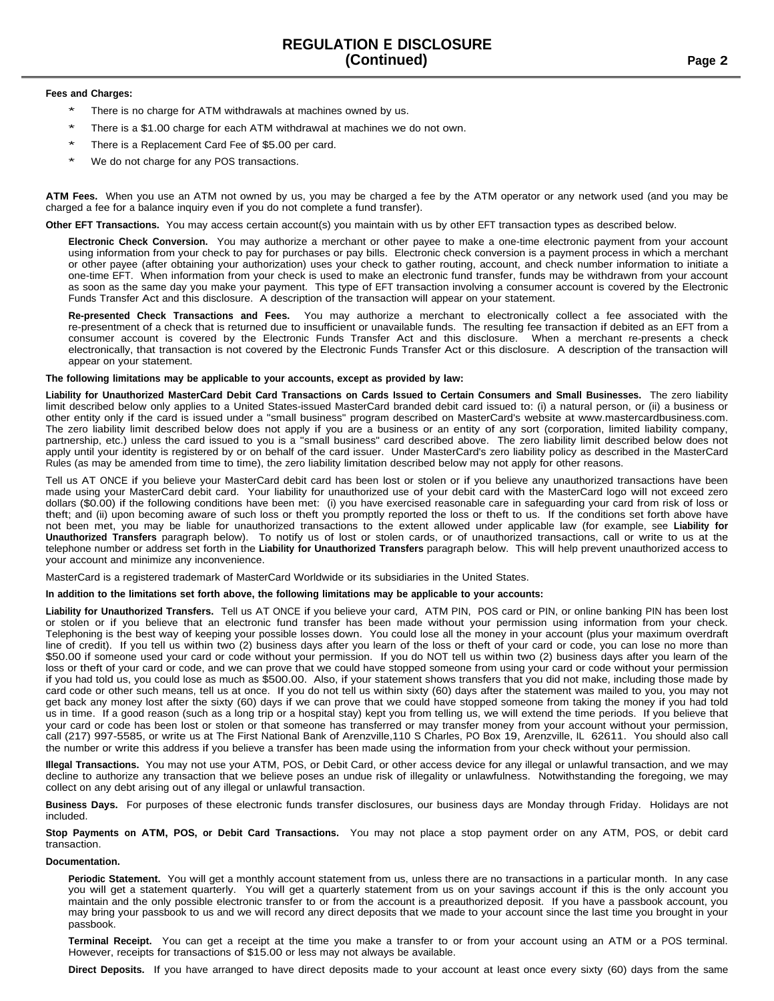# **Fees and Charges:**

- There is no charge for ATM withdrawals at machines owned by us.
- There is a \$1.00 charge for each ATM withdrawal at machines we do not own.
- There is a Replacement Card Fee of \$5.00 per card.
- We do not charge for any POS transactions.

**ATM Fees.** When you use an ATM not owned by us, you may be charged a fee by the ATM operator or any network used (and you may be charged a fee for a balance inquiry even if you do not complete a fund transfer).

**Other EFT Transactions.** You may access certain account(s) you maintain with us by other EFT transaction types as described below.

**Electronic Check Conversion.** You may authorize a merchant or other payee to make a one-time electronic payment from your account using information from your check to pay for purchases or pay bills. Electronic check conversion is a payment process in which a merchant or other payee (after obtaining your authorization) uses your check to gather routing, account, and check number information to initiate a one-time EFT. When information from your check is used to make an electronic fund transfer, funds may be withdrawn from your account as soon as the same day you make your payment. This type of EFT transaction involving a consumer account is covered by the Electronic Funds Transfer Act and this disclosure. A description of the transaction will appear on your statement.

**Re-presented Check Transactions and Fees.** You may authorize a merchant to electronically collect a fee associated with the re-presentment of a check that is returned due to insufficient or unavailable funds. The resulting fee transaction if debited as an EFT from a consumer account is covered by the Electronic Funds Transfer Act and this disclosure. When a merchant re-presents a check electronically, that transaction is not covered by the Electronic Funds Transfer Act or this disclosure. A description of the transaction will appear on your statement.

## **The following limitations may be applicable to your accounts, except as provided by law:**

Liability for Unauthorized MasterCard Debit Card Transactions on Cards Issued to Certain Consumers and Small Businesses. The zero liability limit described below only applies to a United States-issued MasterCard branded debit card issued to: (i) a natural person, or (ii) a business or other entity only if the card is issued under a "small business" program described on MasterCard's website at www.mastercardbusiness.com. The zero liability limit described below does not apply if you are a business or an entity of any sort (corporation, limited liability company, partnership, etc.) unless the card issued to you is a "small business" card described above. The zero liability limit described below does not apply until your identity is registered by or on behalf of the card issuer. Under MasterCard's zero liability policy as described in the MasterCard Rules (as may be amended from time to time), the zero liability limitation described below may not apply for other reasons.

Tell us AT ONCE if you believe your MasterCard debit card has been lost or stolen or if you believe any unauthorized transactions have been made using your MasterCard debit card. Your liability for unauthorized use of your debit card with the MasterCard logo will not exceed zero dollars (\$0.00) if the following conditions have been met: (i) you have exercised reasonable care in safeguarding your card from risk of loss or theft; and (ii) upon becoming aware of such loss or theft you promptly reported the loss or theft to us. If the conditions set forth above have not been met, you may be liable for unauthorized transactions to the extent allowed under applicable law (for example, see **Liability for Unauthorized Transfers** paragraph below). To notify us of lost or stolen cards, or of unauthorized transactions, call or write to us at the telephone number or address set forth in the **Liability for Unauthorized Transfers** paragraph below. This will help prevent unauthorized access to your account and minimize any inconvenience.

MasterCard is a registered trademark of MasterCard Worldwide or its subsidiaries in the United States.

## In addition to the limitations set forth above, the following limitations may be applicable to your accounts:

**Liability for Unauthorized Transfers.** Tell us AT ONCE if you believe your card, ATM PIN, POS card or PIN, or online banking PIN has been lost or stolen or if you believe that an electronic fund transfer has been made without your permission using information from your check. Telephoning is the best way of keeping your possible losses down. You could lose all the money in your account (plus your maximum overdraft line of credit). If you tell us within two (2) business days after you learn of the loss or theft of your card or code, you can lose no more than \$50.00 if someone used your card or code without your permission. If you do NOT tell us within two (2) business days after you learn of the loss or theft of your card or code, and we can prove that we could have stopped someone from using your card or code without your permission if you had told us, you could lose as much as \$500.00. Also, if your statement shows transfers that you did not make, including those made by card code or other such means, tell us at once. If you do not tell us within sixty (60) days after the statement was mailed to you, you may not get back any money lost after the sixty (60) days if we can prove that we could have stopped someone from taking the money if you had told us in time. If a good reason (such as a long trip or a hospital stay) kept you from telling us, we will extend the time periods. If you believe that your card or code has been lost or stolen or that someone has transferred or may transfer money from your account without your permission, call (217) 997-5585, or write us at The First National Bank of Arenzville,110 S Charles, PO Box 19, Arenzville, IL 62611. You should also call the number or write this address if you believe a transfer has been made using the information from your check without your permission.

**Illegal Transactions.** You may not use your ATM, POS, or Debit Card, or other access device for any illegal or unlawful transaction, and we may decline to authorize any transaction that we believe poses an undue risk of illegality or unlawfulness. Notwithstanding the foregoing, we may collect on any debt arising out of any illegal or unlawful transaction.

**Business Days.** For purposes of these electronic funds transfer disclosures, our business days are Monday through Friday. Holidays are not included.

**Stop Payments on ATM, POS, or Debit Card Transactions.** You may not place a stop payment order on any ATM, POS, or debit card transaction.

### **Documentation.**

**Periodic Statement.** You will get a monthly account statement from us, unless there are no transactions in a particular month. In any case you will get a statement quarterly. You will get a quarterly statement from us on your savings account if this is the only account you maintain and the only possible electronic transfer to or from the account is a preauthorized deposit. If you have a passbook account, you may bring your passbook to us and we will record any direct deposits that we made to your account since the last time you brought in your passbook.

**Terminal Receipt.** You can get a receipt at the time you make a transfer to or from your account using an ATM or a POS terminal. However, receipts for transactions of \$15.00 or less may not always be available.

**Direct Deposits.** If you have arranged to have direct deposits made to your account at least once every sixty (60) days from the same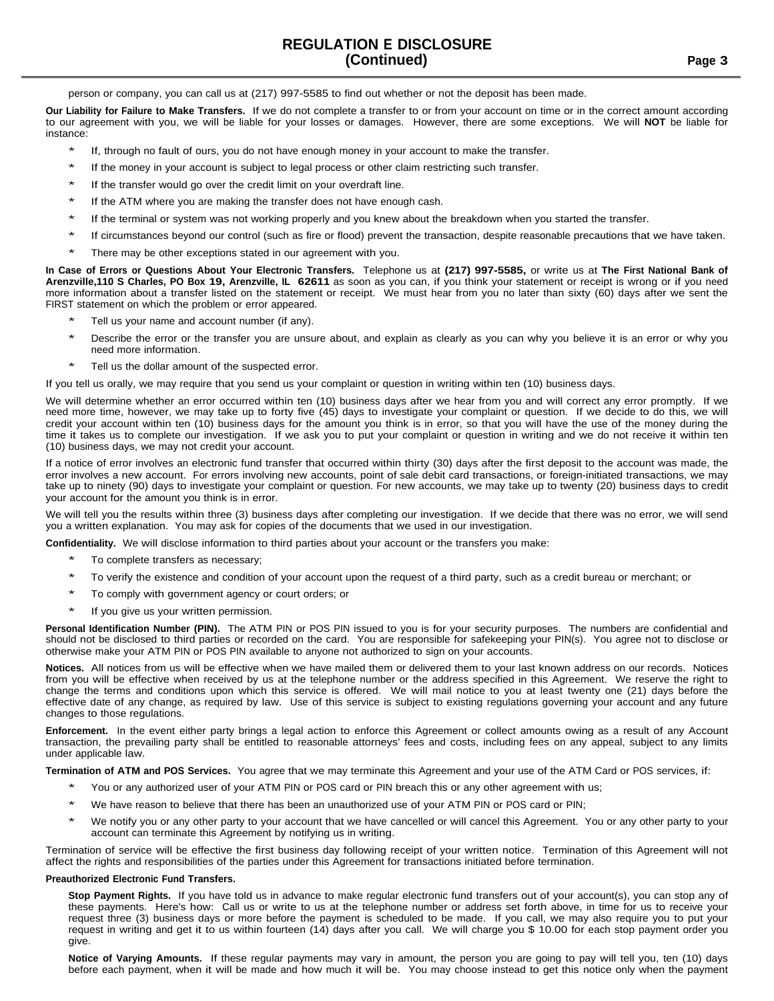person or company, you can call us at (217) 997-5585 to find out whether or not the deposit has been made.

**Our Liability for Failure to Make Transfers.** If we do not complete a transfer to or from your account on time or in the correct amount according to our agreement with you, we will be liable for your losses or damages. However, there are some exceptions. We will **NOT** be liable for instance:

- If, through no fault of ours, you do not have enough money in your account to make the transfer.
- If the money in your account is subject to legal process or other claim restricting such transfer.
- If the transfer would go over the credit limit on your overdraft line.
- If the ATM where you are making the transfer does not have enough cash.
- If the terminal or system was not working properly and you knew about the breakdown when you started the transfer.
- If circumstances beyond our control (such as fire or flood) prevent the transaction, despite reasonable precautions that we have taken.
- There may be other exceptions stated in our agreement with you.

In Case of Errors or Questions About Your Electronic Transfers. Telephone us at (217) 997-5585, or write us at The First National Bank of **Arenzville,110 S Charles, PO Box 19, Arenzville, IL 62611** as soon as you can, if you think your statement or receipt is wrong or if you need more information about a transfer listed on the statement or receipt. We must hear from you no later than sixty (60) days after we sent the FIRST statement on which the problem or error appeared.

- Tell us your name and account number (if any).
- Describe the error or the transfer you are unsure about, and explain as clearly as you can why you believe it is an error or why you need more information.
- Tell us the dollar amount of the suspected error.

If you tell us orally, we may require that you send us your complaint or question in writing within ten (10) business days.

We will determine whether an error occurred within ten (10) business days after we hear from you and will correct any error promptly. If we need more time, however, we may take up to forty five (45) days to investigate your complaint or question. If we decide to do this, we will credit your account within ten (10) business days for the amount you think is in error, so that you will have the use of the money during the time it takes us to complete our investigation. If we ask you to put your complaint or question in writing and we do not receive it within ten (10) business days, we may not credit your account.

If a notice of error involves an electronic fund transfer that occurred within thirty (30) days after the first deposit to the account was made, the error involves a new account. For errors involving new accounts, point of sale debit card transactions, or foreign-initiated transactions, we may take up to ninety (90) days to investigate your complaint or question. For new accounts, we may take up to twenty (20) business days to credit your account for the amount you think is in error.

We will tell you the results within three (3) business days after completing our investigation. If we decide that there was no error, we will send you a written explanation. You may ask for copies of the documents that we used in our investigation.

**Confidentiality.** We will disclose information to third parties about your account or the transfers you make:

- To complete transfers as necessary;
- To verify the existence and condition of your account upon the request of a third party, such as a credit bureau or merchant; or
- To comply with government agency or court orders; or
- If you give us your written permission.

**Personal Identification Number (PIN).** The ATM PIN or POS PIN issued to you is for your security purposes. The numbers are confidential and should not be disclosed to third parties or recorded on the card. You are responsible for safekeeping your PIN(s). You agree not to disclose or otherwise make your ATM PIN or POS PIN available to anyone not authorized to sign on your accounts.

**Notices.** All notices from us will be effective when we have mailed them or delivered them to your last known address on our records. Notices from you will be effective when received by us at the telephone number or the address specified in this Agreement. We reserve the right to change the terms and conditions upon which this service is offered. We will mail notice to you at least twenty one (21) days before the effective date of any change, as required by law. Use of this service is subject to existing regulations governing your account and any future changes to those regulations.

**Enforcement.** In the event either party brings a legal action to enforce this Agreement or collect amounts owing as a result of any Account transaction, the prevailing party shall be entitled to reasonable attorneys' fees and costs, including fees on any appeal, subject to any limits under applicable law.

**Termination of ATM and POS Services.** You agree that we may terminate this Agreement and your use of the ATM Card or POS services, if:

- You or any authorized user of your ATM PIN or POS card or PIN breach this or any other agreement with us;
- We have reason to believe that there has been an unauthorized use of your ATM PIN or POS card or PIN;
- We notify you or any other party to your account that we have cancelled or will cancel this Agreement. You or any other party to your account can terminate this Agreement by notifying us in writing.

Termination of service will be effective the first business day following receipt of your written notice. Termination of this Agreement will not affect the rights and responsibilities of the parties under this Agreement for transactions initiated before termination.

### **Preauthorized Electronic Fund Transfers.**

**Stop Payment Rights.** If you have told us in advance to make regular electronic fund transfers out of your account(s), you can stop any of these payments. Here's how: Call us or write to us at the telephone number or address set forth above, in time for us to receive your request three (3) business days or more before the payment is scheduled to be made. If you call, we may also require you to put your request in writing and get it to us within fourteen (14) days after you call. We will charge you \$ 10.00 for each stop payment order you give.

**Notice of Varying Amounts.** If these regular payments may vary in amount, the person you are going to pay will tell you, ten (10) days before each payment, when it will be made and how much it will be. You may choose instead to get this notice only when the payment